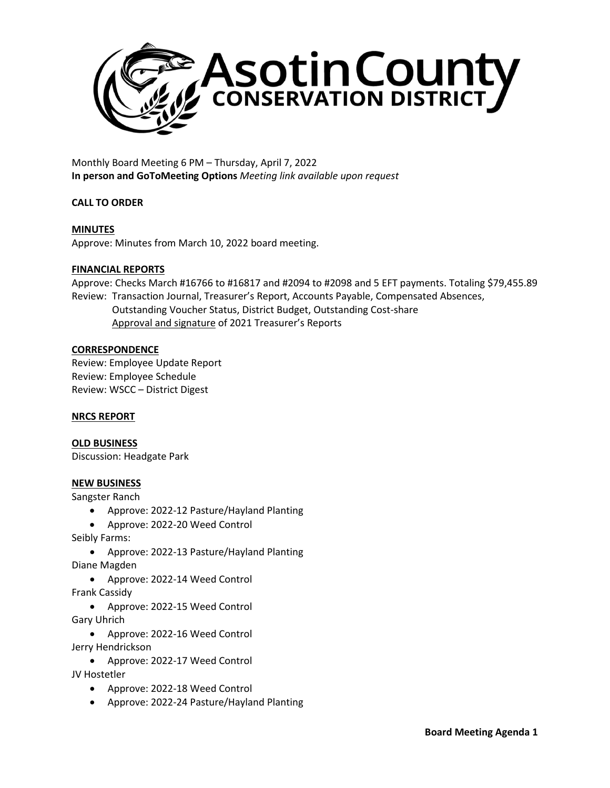

Monthly Board Meeting 6 PM – Thursday, April 7, 2022 **In person and GoToMeeting Options** *Meeting link available upon request*

# **CALL TO ORDER**

# **MINUTES**

Approve: Minutes from March 10, 2022 board meeting.

## **FINANCIAL REPORTS**

Approve: Checks March #16766 to #16817 and #2094 to #2098 and 5 EFT payments. Totaling \$79,455.89 Review: Transaction Journal, Treasurer's Report, Accounts Payable, Compensated Absences, Outstanding Voucher Status, District Budget, Outstanding Cost-share Approval and signature of 2021 Treasurer's Reports

#### **CORRESPONDENCE**

Review: Employee Update Report Review: Employee Schedule Review: WSCC – District Digest

## **NRCS REPORT**

## **OLD BUSINESS**

Discussion: Headgate Park

#### **NEW BUSINESS**

Sangster Ranch

- Approve: 2022-12 Pasture/Hayland Planting
- Approve: 2022-20 Weed Control
- Seibly Farms:
	- Approve: 2022-13 Pasture/Hayland Planting

Diane Magden

• Approve: 2022-14 Weed Control

Frank Cassidy

• Approve: 2022-15 Weed Control

Gary Uhrich

- Approve: 2022-16 Weed Control Jerry Hendrickson
	- Approve: 2022-17 Weed Control

JV Hostetler

- Approve: 2022-18 Weed Control
- Approve: 2022-24 Pasture/Hayland Planting